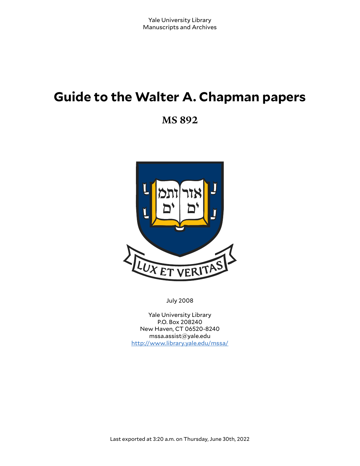# **Guide to the Walter A. Chapman papers**

**MS 892**



July 2008

Yale University Library P.O. Box 208240 New Haven, CT 06520-8240 mssa.assist@yale.edu <http://www.library.yale.edu/mssa/>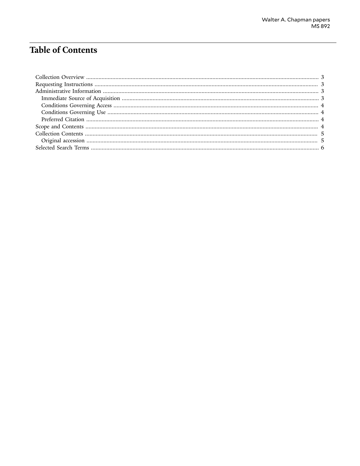## **Table of Contents**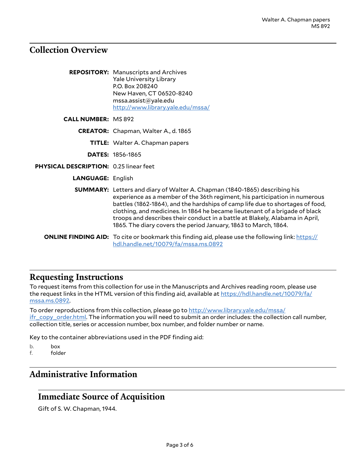## <span id="page-2-0"></span>**Collection Overview**

|                                        | <b>REPOSITORY:</b> Manuscripts and Archives<br><b>Yale University Library</b><br>P.O. Box 208240<br>New Haven, CT 06520-8240<br>mssa.assist@yale.edu<br>http://www.library.yale.edu/mssa/                                                                                                                                                                                                                                                                                          |
|----------------------------------------|------------------------------------------------------------------------------------------------------------------------------------------------------------------------------------------------------------------------------------------------------------------------------------------------------------------------------------------------------------------------------------------------------------------------------------------------------------------------------------|
| <b>CALL NUMBER: MS 892</b>             |                                                                                                                                                                                                                                                                                                                                                                                                                                                                                    |
|                                        | <b>CREATOR:</b> Chapman, Walter A., d. 1865                                                                                                                                                                                                                                                                                                                                                                                                                                        |
|                                        | <b>TITLE:</b> Walter A. Chapman papers                                                                                                                                                                                                                                                                                                                                                                                                                                             |
|                                        | <b>DATES: 1856-1865</b>                                                                                                                                                                                                                                                                                                                                                                                                                                                            |
| PHYSICAL DESCRIPTION: 0.25 linear feet |                                                                                                                                                                                                                                                                                                                                                                                                                                                                                    |
| <b>LANGUAGE: English</b>               |                                                                                                                                                                                                                                                                                                                                                                                                                                                                                    |
|                                        | <b>SUMMARY:</b> Letters and diary of Walter A. Chapman (1840-1865) describing his<br>experience as a member of the 36th regiment, his participation in numerous<br>battles (1862-1864), and the hardships of camp life due to shortages of food,<br>clothing, and medicines. In 1864 he became lieutenant of a brigade of black<br>troops and describes their conduct in a battle at Blakely, Alabama in April,<br>1865. The diary covers the period January, 1863 to March, 1864. |
|                                        | <b>ONLINE FINDING AID:</b> To cite or bookmark this finding aid, please use the following link: https://<br>hdl.handle.net/10079/fa/mssa.ms.0892                                                                                                                                                                                                                                                                                                                                   |

## <span id="page-2-1"></span>**Requesting Instructions**

To request items from this collection for use in the Manuscripts and Archives reading room, please use the request links in the HTML version of this finding aid, available at [https://hdl.handle.net/10079/fa/](https://hdl.handle.net/10079/fa/mssa.ms.0892) [mssa.ms.0892](https://hdl.handle.net/10079/fa/mssa.ms.0892).

To order reproductions from this collection, please go to [http://www.library.yale.edu/mssa/](http://www.library.yale.edu/mssa/ifr_copy_order.html) [ifr\\_copy\\_order.html.](http://www.library.yale.edu/mssa/ifr_copy_order.html) The information you will need to submit an order includes: the collection call number, collection title, series or accession number, box number, and folder number or name.

Key to the container abbreviations used in the PDF finding aid:

- b. box<br>f. fold
- folder

## <span id="page-2-2"></span>**Administrative Information**

## <span id="page-2-3"></span>**Immediate Source of Acquisition**

Gift of S. W. Chapman, 1944.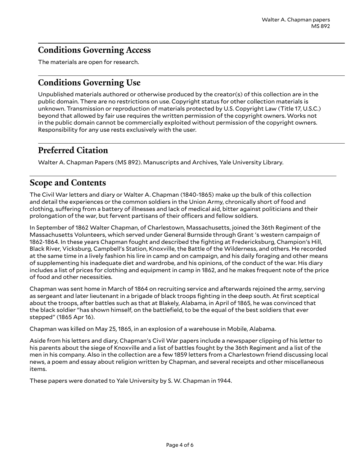## <span id="page-3-0"></span>**Conditions Governing Access**

The materials are open for research.

## <span id="page-3-1"></span>**Conditions Governing Use**

Unpublished materials authored or otherwise produced by the creator(s) of this collection are in the public domain. There are no restrictions on use. Copyright status for other collection materials is unknown. Transmission or reproduction of materials protected by U.S. Copyright Law (Title 17, U.S.C.) beyond that allowed by fair use requires the written permission of the copyright owners. Works not in the public domain cannot be commercially exploited without permission of the copyright owners. Responsibility for any use rests exclusively with the user.

## <span id="page-3-2"></span>**Preferred Citation**

Walter A. Chapman Papers (MS 892). Manuscripts and Archives, Yale University Library.

## <span id="page-3-3"></span>**Scope and Contents**

The Civil War letters and diary or Walter A. Chapman (1840-1865) make up the bulk of this collection and detail the experiences or the common soldiers in the Union Army, chronically short of food and clothing, suffering from a battery of illnesses and lack of medical aid, bitter against politicians and their prolongation of the war, but fervent partisans of their officers and fellow soldiers.

In September of 1862 Walter Chapman, of Charlestown, Massachusetts, joined the 36th Regiment of the Massachusetts Volunteers, which served under General Burnside through Grant 's western campaign of 1862-1864. In these years Chapman fought and described the fighting at Fredericksburg, Champion's Hill, Black River, Vicksburg, Campbell's Station, Knoxville, the Battle of the Wilderness, and others. He recorded at the same time in a lively fashion his lire in camp and on campaign, and his daily foraging and other means of supplementing his inadequate diet and wardrobe, and his opinions, of the conduct of the war. His diary includes a list of prices for clothing and equipment in camp in 1862, and he makes frequent note of the price of food and other necessities.

Chapman was sent home in March of 1864 on recruiting service and afterwards rejoined the army, serving as sergeant and later lieutenant in a brigade of black troops fighting in the deep south. At first sceptical about the troops, after battles such as that at Blakely, Alabama, in April of 1865, he was convinced that the black soldier "has shown himself, on the battlefield, to be the equal of the best soldiers that ever stepped" (1865 Apr 16).

Chapman was killed on May 25, 1865, in an explosion of a warehouse in Mobile, Alabama.

Aside from his letters and diary, Chapman's Civil War papers include a newspaper clipping of his letter to his parents about the siege of Knoxville and a list of battles fought by the 36th Regiment and a list of the men in his company. Also in the collection are a few 1859 letters from a Charlestown friend discussing local news, a poem and essay about religion written by Chapman, and several receipts and other miscellaneous items.

These papers were donated to Yale University by S. W. Chapman in 1944.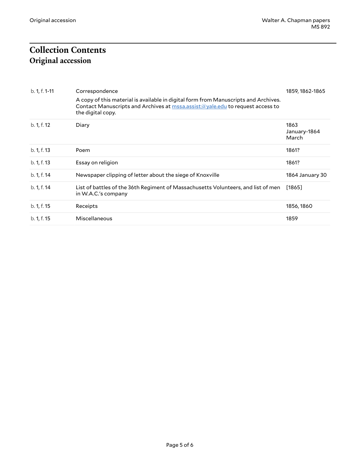## <span id="page-4-1"></span><span id="page-4-0"></span>**Collection Contents Original accession**

| b. 1, f. 1-11 | Correspondence<br>A copy of this material is available in digital form from Manuscripts and Archives.<br>Contact Manuscripts and Archives at mssa.assist@yale.edu to request access to | 1859, 1862-1865               |
|---------------|----------------------------------------------------------------------------------------------------------------------------------------------------------------------------------------|-------------------------------|
|               | the digital copy.                                                                                                                                                                      |                               |
| b. 1, f. 12   | Diary                                                                                                                                                                                  | 1863<br>January-1864<br>March |
| b. 1, f. 13   | Poem                                                                                                                                                                                   | 1861?                         |
| b. 1, f. 13   | Essay on religion                                                                                                                                                                      | 1861?                         |
| b. 1, f. 14   | Newspaper clipping of letter about the siege of Knoxville                                                                                                                              | 1864 January 30               |
| b. 1, f. 14   | List of battles of the 36th Regiment of Massachusetts Volunteers, and list of men<br>in W.A.C.'s company                                                                               | [1865]                        |
| b. 1, f. 15   | Receipts                                                                                                                                                                               | 1856, 1860                    |
| b. 1, f. 15   | Miscellaneous                                                                                                                                                                          | 1859                          |